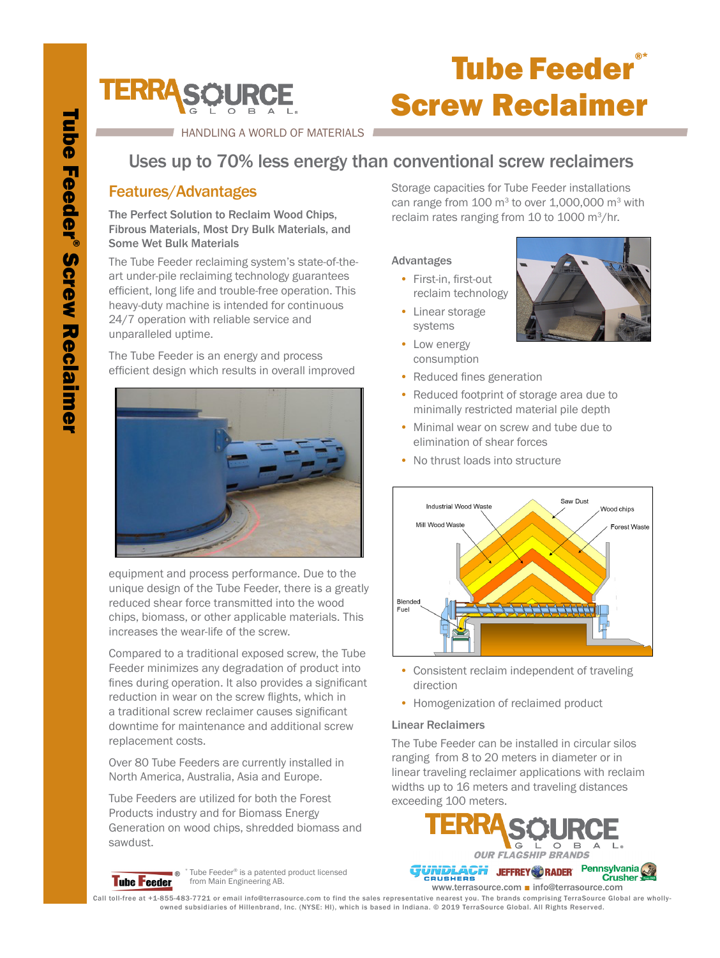

## **Tube Feeder®** Screw Reclaimer

HANDLING A WORLD OF MATERIALS

## Uses up to 70% less energy than conventional screw reclaimers

### Features/Advantages

The Perfect Solution to Reclaim Wood Chips, Fibrous Materials, Most Dry Bulk Materials, and Some Wet Bulk Materials

The Tube Feeder reclaiming system's state-of-theart under-pile reclaiming technology guarantees efficient, long life and trouble-free operation. This heavy-duty machine is intended for continuous 24/7 operation with reliable service and unparalleled uptime.

The Tube Feeder is an energy and process efficient design which results in overall improved



equipment and process performance. Due to the unique design of the Tube Feeder, there is a greatly reduced shear force transmitted into the wood chips, biomass, or other applicable materials. This increases the wear-life of the screw.

Compared to a traditional exposed screw, the Tube Feeder minimizes any degradation of product into fines during operation. It also provides a significant reduction in wear on the screw flights, which in a traditional screw reclaimer causes significant downtime for maintenance and additional screw replacement costs.

Over 80 Tube Feeders are currently installed in North America, Australia, Asia and Europe.

Tube Feeders are utilized for both the Forest Products industry and for Biomass Energy Generation on wood chips, shredded biomass and sawdust.



Tube Feeder® is a patented product licensed ∎⊛ ∂ lube Feeder® is a patented<br>from Main Engineering AB.

Storage capacities for Tube Feeder installations can range from  $100 \text{ m}^3$  to over  $1,000,000 \text{ m}^3$  with reclaim rates ranging from 10 to 1000 m<sup>3</sup>/hr.

#### Advantages

- First-in, first-out reclaim technology
- Linear storage systems
- Low energy consumption
- Reduced fines generation
- Reduced footprint of storage area due to minimally restricted material pile depth
- Minimal wear on screw and tube due to elimination of shear forces
- No thrust loads into structure



- Consistent reclaim independent of traveling direction
- Homogenization of reclaimed product

#### Linear Reclaimers

The Tube Feeder can be installed in circular silos ranging from 8 to 20 meters in diameter or in linear traveling reclaimer applications with reclaim widths up to 16 meters and traveling distances exceeding 100 meters.



www.terrasource.com ■ info@terrasource.com

Call toll-free at +1-855-483-7721 or email info@terrasource.com to find the sales representative nearest you. The brands comprising TerraSource Global are whollyowned subsidiaries of Hillenbrand, Inc. (NYSE: HI), which is based in Indiana. © 2019 TerraSource Global. All Rights Reserved.